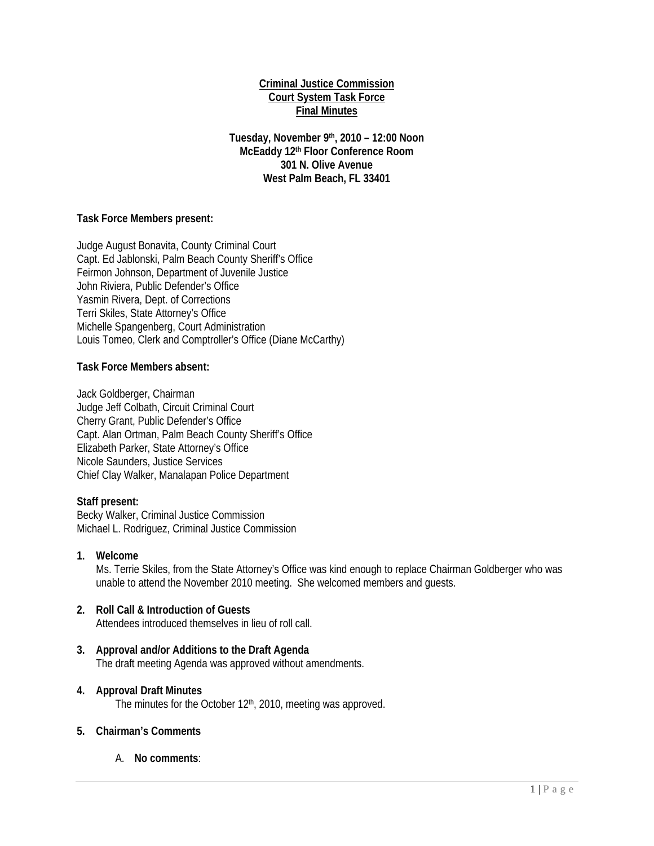### **Criminal Justice Commission Court System Task Force Final Minutes**

**Tuesday, November 9th, 2010 – 12:00 Noon McEaddy 12th Floor Conference Room 301 N. Olive Avenue West Palm Beach, FL 33401** 

## **Task Force Members present:**

Judge August Bonavita, County Criminal Court Capt. Ed Jablonski, Palm Beach County Sheriff's Office Feirmon Johnson, Department of Juvenile Justice John Riviera, Public Defender's Office Yasmin Rivera, Dept. of Corrections Terri Skiles, State Attorney's Office Michelle Spangenberg, Court Administration Louis Tomeo, Clerk and Comptroller's Office (Diane McCarthy)

#### **Task Force Members absent:**

Jack Goldberger, Chairman Judge Jeff Colbath, Circuit Criminal Court Cherry Grant, Public Defender's Office Capt. Alan Ortman, Palm Beach County Sheriff's Office Elizabeth Parker, State Attorney's Office Nicole Saunders, Justice Services Chief Clay Walker, Manalapan Police Department

# **Staff present:**

Becky Walker, Criminal Justice Commission Michael L. Rodriguez, Criminal Justice Commission

**1. Welcome** 

Ms. Terrie Skiles, from the State Attorney's Office was kind enough to replace Chairman Goldberger who was unable to attend the November 2010 meeting. She welcomed members and guests.

#### **2. Roll Call & Introduction of Guests**  Attendees introduced themselves in lieu of roll call.

**3. Approval and/or Additions to the Draft Agenda**  The draft meeting Agenda was approved without amendments.

#### **4. Approval Draft Minutes**

The minutes for the October 12<sup>th</sup>, 2010, meeting was approved.

#### **5. Chairman's Comments**

A. **No comments**: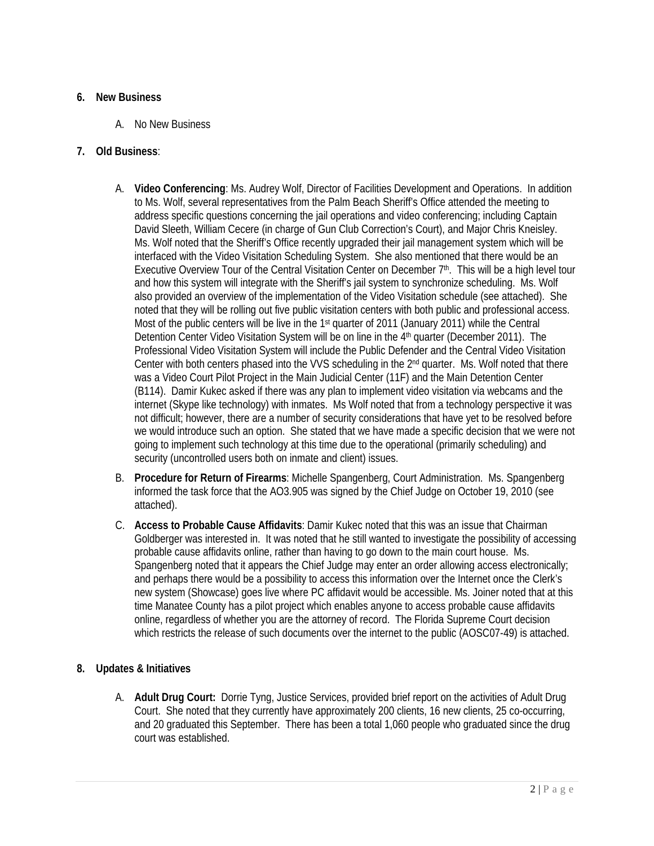## **6. New Business**

A. No New Business

## **7. Old Business**:

- A. **Video Conferencing**: Ms. Audrey Wolf, Director of Facilities Development and Operations. In addition to Ms. Wolf, several representatives from the Palm Beach Sheriff's Office attended the meeting to address specific questions concerning the jail operations and video conferencing; including Captain David Sleeth, William Cecere (in charge of Gun Club Correction's Court), and Major Chris Kneisley. Ms. Wolf noted that the Sheriff's Office recently upgraded their jail management system which will be interfaced with the Video Visitation Scheduling System. She also mentioned that there would be an Executive Overview Tour of the Central Visitation Center on December 7<sup>th</sup>. This will be a high level tour and how this system will integrate with the Sheriff's jail system to synchronize scheduling. Ms. Wolf also provided an overview of the implementation of the Video Visitation schedule (see attached). She noted that they will be rolling out five public visitation centers with both public and professional access. Most of the public centers will be live in the 1st quarter of 2011 (January 2011) while the Central Detention Center Video Visitation System will be on line in the 4<sup>th</sup> quarter (December 2011). The Professional Video Visitation System will include the Public Defender and the Central Video Visitation Center with both centers phased into the VVS scheduling in the 2nd quarter. Ms. Wolf noted that there was a Video Court Pilot Project in the Main Judicial Center (11F) and the Main Detention Center (B114). Damir Kukec asked if there was any plan to implement video visitation via webcams and the internet (Skype like technology) with inmates. Ms Wolf noted that from a technology perspective it was not difficult; however, there are a number of security considerations that have yet to be resolved before we would introduce such an option. She stated that we have made a specific decision that we were not going to implement such technology at this time due to the operational (primarily scheduling) and security (uncontrolled users both on inmate and client) issues.
- B. **Procedure for Return of Firearms**: Michelle Spangenberg, Court Administration. Ms. Spangenberg informed the task force that the AO3.905 was signed by the Chief Judge on October 19, 2010 (see attached).
- C. **Access to Probable Cause Affidavits**: Damir Kukec noted that this was an issue that Chairman Goldberger was interested in. It was noted that he still wanted to investigate the possibility of accessing probable cause affidavits online, rather than having to go down to the main court house. Ms. Spangenberg noted that it appears the Chief Judge may enter an order allowing access electronically; and perhaps there would be a possibility to access this information over the Internet once the Clerk's new system (Showcase) goes live where PC affidavit would be accessible. Ms. Joiner noted that at this time Manatee County has a pilot project which enables anyone to access probable cause affidavits online, regardless of whether you are the attorney of record. The Florida Supreme Court decision which restricts the release of such documents over the internet to the public (AOSC07-49) is attached.

# **8. Updates & Initiatives**

A. **Adult Drug Court:** Dorrie Tyng, Justice Services, provided brief report on the activities of Adult Drug Court. She noted that they currently have approximately 200 clients, 16 new clients, 25 co-occurring, and 20 graduated this September. There has been a total 1,060 people who graduated since the drug court was established.